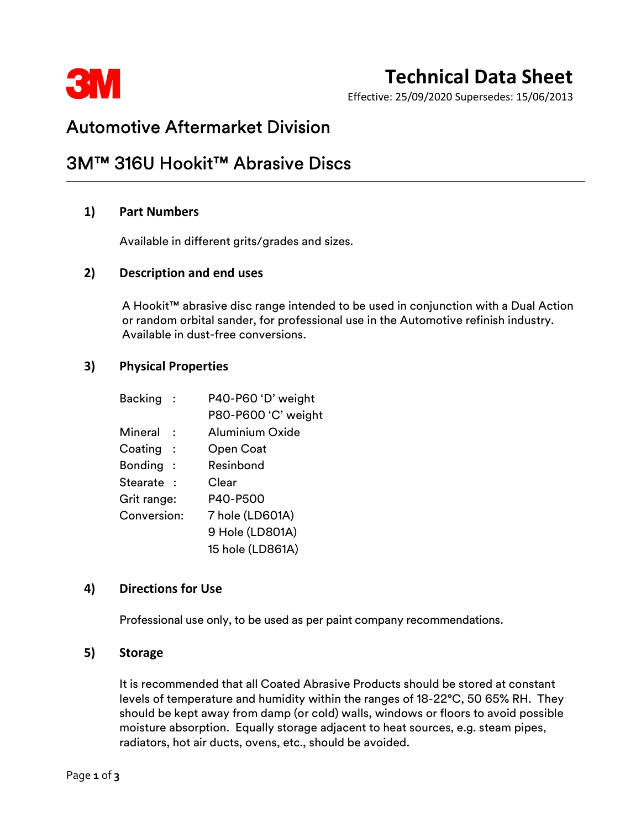

# Technical Data Sheet

Effective: 25/09/2020 Supersedes: 15/06/2013

## Automotive Aftermarket Division

## 3M™ 316U Hookit™ Abrasive Discs

### 1) Part Numbers

Available in different grits/grades and sizes.

#### 2) Description and end uses

 A Hookit™ abrasive disc range intended to be used in conjunction with a Dual Action or random orbital sander, for professional use in the Automotive refinish industry. Available in dust-free conversions.

#### 3) Physical Properties

|             | Backing :  | P40-P60 'D' weight  |
|-------------|------------|---------------------|
|             |            | P80-P600 'C' weight |
| Mineral     |            | Aluminium Oxide     |
|             | Coating:   | Open Coat           |
|             | Bonding:   | Resinbond           |
|             | Stearate : | Clear               |
| Grit range: |            | P40-P500            |
| Conversion: |            | 7 hole (LD601A)     |
|             |            | 9 Hole (LD801A)     |
|             |            | 15 hole (LD861A)    |

#### 4) Directions for Use

Professional use only, to be used as per paint company recommendations.

#### 5) Storage

 It is recommended that all Coated Abrasive Products should be stored at constant levels of temperature and humidity within the ranges of 18-22°C, 50 65% RH. They should be kept away from damp (or cold) walls, windows or floors to avoid possible moisture absorption. Equally storage adjacent to heat sources, e.g. steam pipes, radiators, hot air ducts, ovens, etc., should be avoided.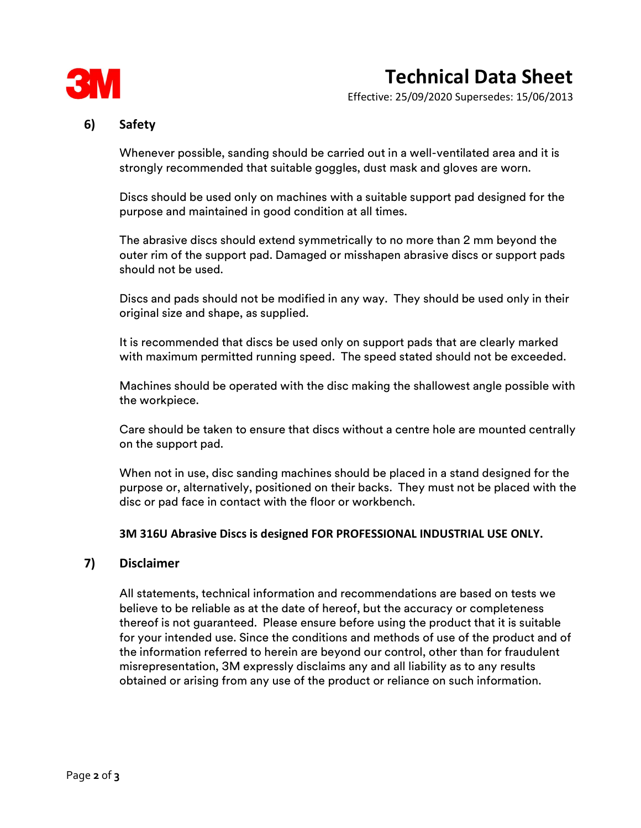

Effective: 25/09/2020 Supersedes: 15/06/2013

### 6) Safety

 Whenever possible, sanding should be carried out in a well-ventilated area and it is strongly recommended that suitable goggles, dust mask and gloves are worn.

Discs should be used only on machines with a suitable support pad designed for the purpose and maintained in good condition at all times.

The abrasive discs should extend symmetrically to no more than 2 mm beyond the outer rim of the support pad. Damaged or misshapen abrasive discs or support pads should not be used.

Discs and pads should not be modified in any way. They should be used only in their original size and shape, as supplied.

It is recommended that discs be used only on support pads that are clearly marked with maximum permitted running speed. The speed stated should not be exceeded.

Machines should be operated with the disc making the shallowest angle possible with the workpiece.

Care should be taken to ensure that discs without a centre hole are mounted centrally on the support pad.

When not in use, disc sanding machines should be placed in a stand designed for the purpose or, alternatively, positioned on their backs. They must not be placed with the disc or pad face in contact with the floor or workbench.

#### 3M 316U Abrasive Discs is designed FOR PROFESSIONAL INDUSTRIAL USE ONLY.

#### 7) Disclaimer

 All statements, technical information and recommendations are based on tests we believe to be reliable as at the date of hereof, but the accuracy or completeness thereof is not guaranteed. Please ensure before using the product that it is suitable for your intended use. Since the conditions and methods of use of the product and of the information referred to herein are beyond our control, other than for fraudulent misrepresentation, 3M expressly disclaims any and all liability as to any results obtained or arising from any use of the product or reliance on such information.